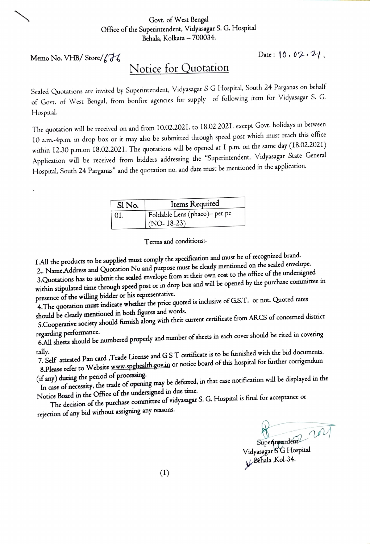## Govt. of West Bengal Office of the Superintendent, Vidyasagar S. G. Hospital Behala, Kolkata - 700034.

Memo No. YHB/ Store/ *(?1,* 

 $Date: 10.02.21$ 

## Notice for Quotation

Sealed Quotations are invited by Superintendent, Vidyasagar S G Hospital, South <sup>24</sup>Parganas on behalf of Govt. of West Bengal, from bonfire agencies for supply of following item for Vidyasagar S. G. Hospital.

The quotation will be received on and from 10.02.2021. to 18.02.2021. except Govt. holidays in between IO a.m.--4p.m. in drop box or it may also be submitted through speed post which must reach this office within 12.30 p.m.on 18.02.2021. The quotations *will* be opened at I p.m. on the same day (18.02.2021) Application will be received from bidders addressing the "Superintendent, Vidyasagar State General Hospital, South 24 Parganas" and the quotation no. and date must be mentioned in the application.

| Sl No.         | Items Required                |
|----------------|-------------------------------|
| $^{\circ}$ OI. | Foldable Lens (phaco)- per pc |
|                | $(NO-18-23)$                  |

Terms and conditions:-

I.All the products to be supplied must comply the specification and must be of recognized brand.

<sup>2</sup>.. Name.Address and Quotation No and purpose must be dearly mentioned on the sealed envelope.

3.Quotations has to submit the sealed envelope from at their own cost to the office of the undersigned within stipulated time through speed post or in drop box and will be opened by the purchase committee in presence of the willing bidder or his representative.

4. The quotation must indicate whether the price quoted is inclusive of G.S.T. or not. Quoted rates should be dearly mentioned in both figures and words.

5.Cooperative society should furnish along with their current certificate from ARCS of concerned district

regarding performance. 6.All sheets should be nwnbered properly and number of sheets in each cover should be cited in covering

tally. 7. Sdf attested Pan card ,Trade License an<sup>d</sup>G S T certificate is to be furnished with the bid documents.

8.Please refer to Website www.spghealth.gov.in or notice board of this hospital for further corrigendum (if any) during the period of processing.

In case of necessity, the trade of opening may be deferred, in that case notification will be displayed in the Notice Board in the Office of the undersigned in due time.

The decision of the purchase committee of vidyasagar S. G. Hospital is final for acceptance or rejection of any bid without assigning any reasons.

Superincentent 2021

Vidyasagar SG Hospital Behala ,Kol-34.